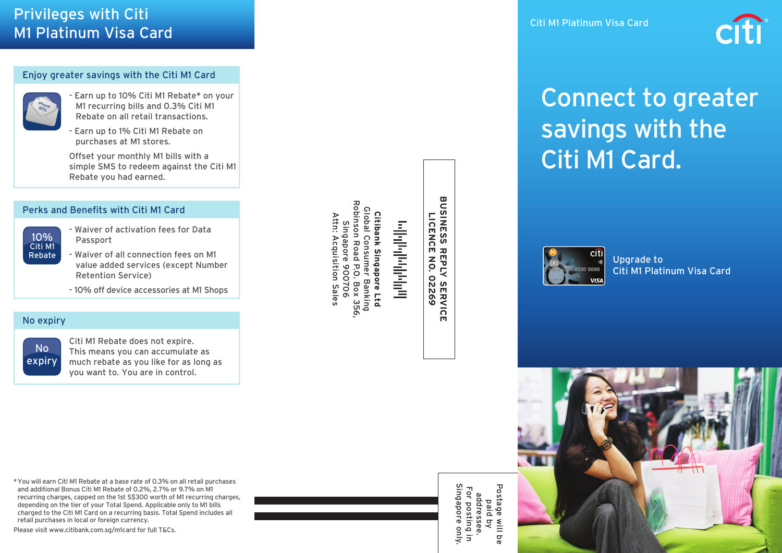## Privileges with Citi M1 Platinum Visa Card

#### Enjoy greater savings with the Citi M1 Card



- Earn up to 10% Citi M1 Rebate\* on your M1 recurring bills and 0.3% Citi M1 Rebate on all retail transactions.
- Earn up to 1% Citi M1 Rebate on purchases at M1 stores.

Offset your monthly M1 bills with a simple SMS to redeem against the Citi M1 Rebate you had earned.

#### Perks and Benefits with Citi M1 Card

| 10%     |  |
|---------|--|
| Citi M1 |  |
| Rebate  |  |

- Waiver of activation fees for Data Passport
- Waiver of all connection fees on M1 value added services (except Number Retention Service)
	- 10% off device accessories at M1 Shops

#### No expiry

No expiry

Citi M1 Rebate does not expire. This means you can accumulate as much rebate as you like for as long as you want to. You are in control.

Citibank Singapore Ltd<br>Global Consumer Banking<br>Robinson Road P.O. Box 356 Robinson Road P.O. Box 356, Global Consumer Banking **Citibank Singapore Ltd** Attn: Acquisition Sales Attn: Acquisition Sales Singapore 900706 Singapore 900706

# وبالواروا والورا الوالس

**BUSINESS REPLY<br>BUSINESS REPLY BUSINESS REPLY SERVICE LICENCE NO. 02269**

.Y SERVICI<br>.O2269 m

> addressee.<br>For posting i<br>Singapore on Singapore only. Postage Postage will be For posting in addressee. paid by  $rac{1}{2}$ vnly ă  $\overline{5}$



# Connect to greater savings with the Citi M1 Card.



Upgrade to Citi M1 Platinum Visa Card



\* You will earn Citi M1 Rebate at a base rate of 0.3% on all retail purchases and additional Bonus Citi M1 Rebate of 0.2%, 2.7% or 9.7% on M1 recurring charges, capped on the 1st S\$300 worth of M1 recurring charges, depending on the tier of your Total Spend. Applicable only to M1 bills charged to the Citi M1 Card on a recurring basis. Total Spend includes all retail purchases in local or foreign currency.

Please visit www.citibank.com.sg/m1card for full T&Cs.